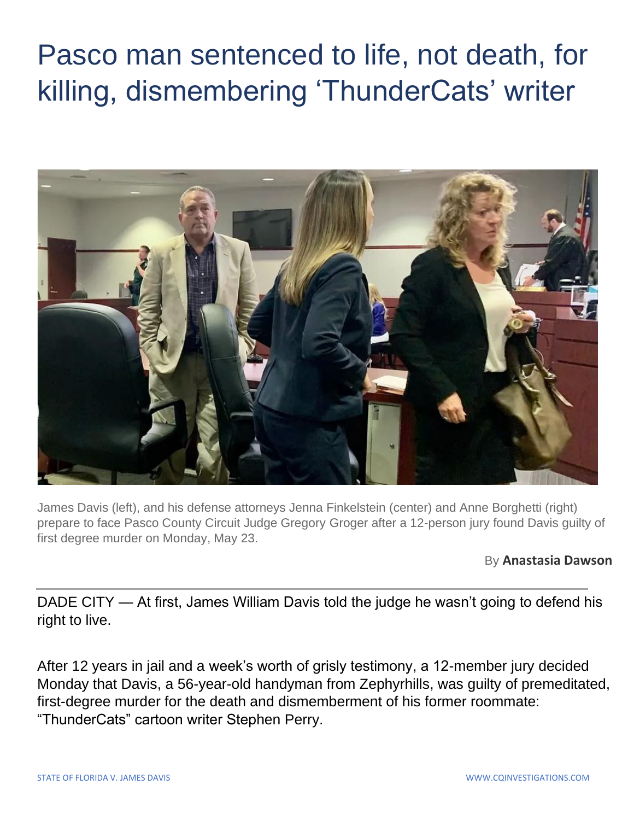## Pasco man sentenced to life, not death, for killing, dismembering 'ThunderCats' writer



James Davis (left), and his defense attorneys Jenna Finkelstein (center) and Anne Borghetti (right) prepare to face Pasco County Circuit Judge Gregory Groger after a 12-person jury found Davis guilty of first degree murder on Monday, May 23.

By **Anastasia Dawson**

DADE CITY — At first, James William Davis told the judge he wasn't going to defend his right to live.

After 12 years in jail and a week's worth of grisly testimony, a 12-member jury decided Monday that Davis, a 56-year-old handyman from Zephyrhills, was guilty of premeditated, first-degree murder for the death and dismemberment of his former roommate: "ThunderCats" cartoon writer Stephen Perry.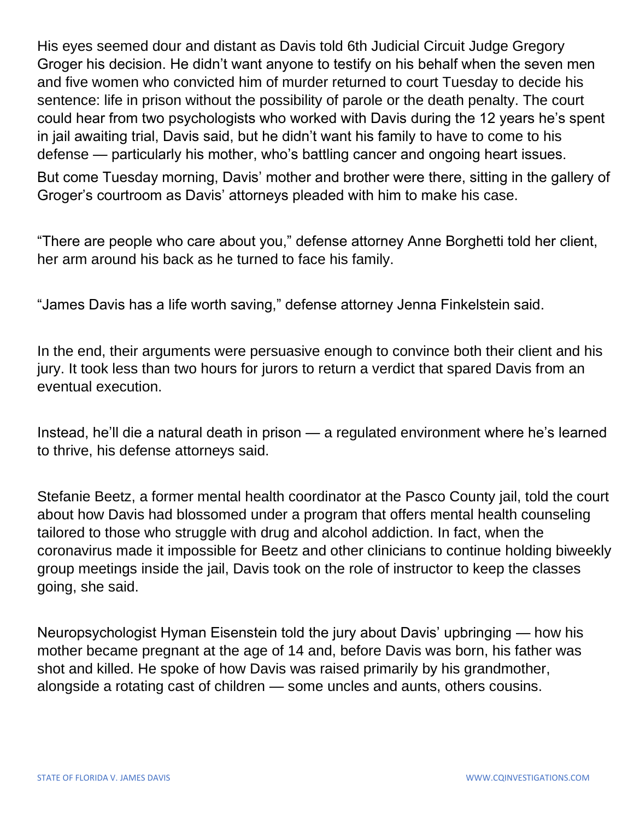His eyes seemed dour and distant as Davis told 6th Judicial Circuit Judge Gregory Groger his decision. He didn't want anyone to testify on his behalf when the seven men and five women who convicted him of murder returned to court Tuesday to decide his sentence: life in prison without the possibility of parole or the death penalty. The court could hear from two psychologists who worked with Davis during the 12 years he's spent in jail awaiting trial, Davis said, but he didn't want his family to have to come to his defense — particularly his mother, who's battling cancer and ongoing heart issues.

But come Tuesday morning, Davis' mother and brother were there, sitting in the gallery of Groger's courtroom as Davis' attorneys pleaded with him to make his case.

"There are people who care about you," defense attorney Anne Borghetti told her client, her arm around his back as he turned to face his family.

"James Davis has a life worth saving," defense attorney Jenna Finkelstein said.

In the end, their arguments were persuasive enough to convince both their client and his jury. It took less than two hours for jurors to return a verdict that spared Davis from an eventual execution.

Instead, he'll die a natural death in prison — a regulated environment where he's learned to thrive, his defense attorneys said.

Stefanie Beetz, a former mental health coordinator at the Pasco County jail, told the court about how Davis had blossomed under a program that offers mental health counseling tailored to those who struggle with drug and alcohol addiction. In fact, when the coronavirus made it impossible for Beetz and other clinicians to continue holding biweekly group meetings inside the jail, Davis took on the role of instructor to keep the classes going, she said.

Neuropsychologist Hyman Eisenstein told the jury about Davis' upbringing — how his mother became pregnant at the age of 14 and, before Davis was born, his father was shot and killed. He spoke of how Davis was raised primarily by his grandmother, alongside a rotating cast of children — some uncles and aunts, others cousins.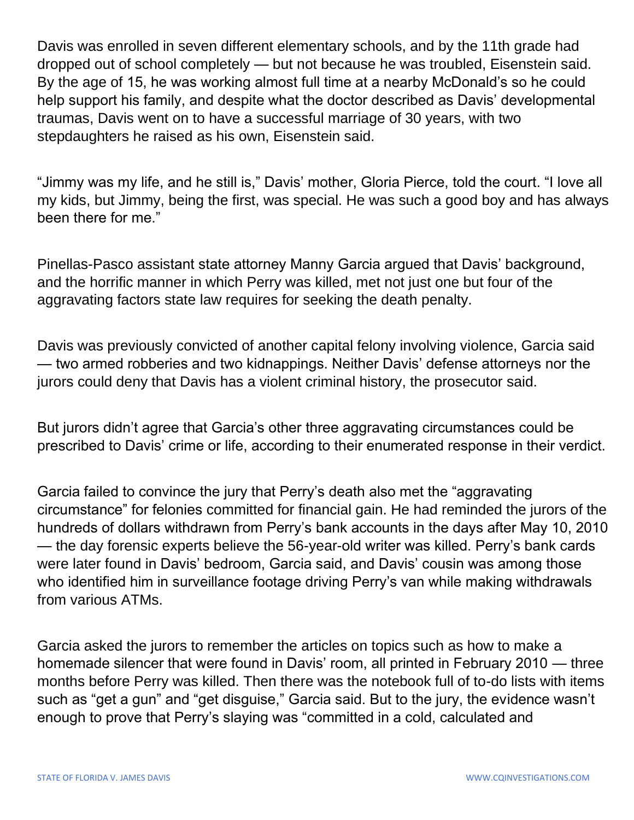Davis was enrolled in seven different elementary schools, and by the 11th grade had dropped out of school completely — but not because he was troubled, Eisenstein said. By the age of 15, he was working almost full time at a nearby McDonald's so he could help support his family, and despite what the doctor described as Davis' developmental traumas, Davis went on to have a successful marriage of 30 years, with two stepdaughters he raised as his own, Eisenstein said.

"Jimmy was my life, and he still is," Davis' mother, Gloria Pierce, told the court. "I love all my kids, but Jimmy, being the first, was special. He was such a good boy and has always been there for me."

Pinellas-Pasco assistant state attorney Manny Garcia argued that Davis' background, and the horrific manner in which Perry was killed, met not just one but four of the aggravating factors state law requires for seeking the death penalty.

Davis was previously convicted of another capital felony involving violence, Garcia said — two armed robberies and two kidnappings. Neither Davis' defense attorneys nor the jurors could deny that Davis has a violent criminal history, the prosecutor said.

But jurors didn't agree that Garcia's other three aggravating circumstances could be prescribed to Davis' crime or life, according to their enumerated response in their verdict.

Garcia failed to convince the jury that Perry's death also met the "aggravating circumstance" for felonies committed for financial gain. He had reminded the jurors of the hundreds of dollars withdrawn from Perry's bank accounts in the days after May 10, 2010 — the day forensic experts believe the 56-year-old writer was killed. Perry's bank cards were later found in Davis' bedroom, Garcia said, and Davis' cousin was among those who identified him in surveillance footage driving Perry's van while making withdrawals from various ATMs.

Garcia asked the jurors to remember the articles on topics such as how to make a homemade silencer that were found in Davis' room, all printed in February 2010 — three months before Perry was killed. Then there was the notebook full of to-do lists with items such as "get a gun" and "get disguise," Garcia said. But to the jury, the evidence wasn't enough to prove that Perry's slaying was "committed in a cold, calculated and